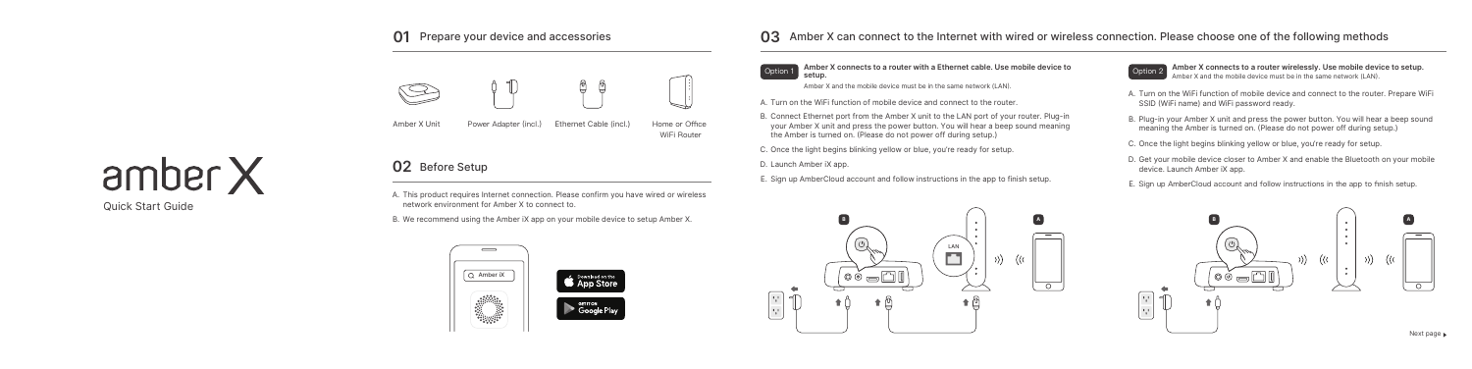Quick Start Guide

### **03** Amber X can connect to the Internet with wired or wireless connection. Please choose one of the following methods

A. This product requires Internet connection. Please confirm you have wired or wireless network environment for Amber X to connect to.

B. We recommend using the Amber iX app on your mobile device to setup Amber X.

## **02** Before Setup

**Amber X connects to a router wirelessly. Use mobile device to setup.**  Amber X and the mobile device must be in the same network (LAN).

- A. Turn on the WiFi function of mobile device and connect to the router. Prepare WiFi SSID (WiFi name) and WiFi password ready.
- B. Plug-in your Amber X unit and press the power button. You will hear a beep sound meaning the Amber is turned on. (Please do not power off during setup.)
- C. Once the light begins blinking yellow or blue, you're ready for setup.
- D. Get your mobile device closer to Amber X and enable the Bluetooth on your mobile device. Launch Amber iX app.
- E. Sign up AmberCloud account and follow instructions in the app to finish setup.

**Amber X connects to a router with a Ethernet cable. Use mobile device to setup.** Option 1

Amber X and the mobile device must be in the same network (LAN).

- A. Turn on the WiFi function of mobile device and connect to the router.
- B. Connect Ethernet port from the Amber X unit to the LAN port of your router. Plug-in your Amber X unit and press the power button. You will hear a beep sound meaning the Amber is turned on. (Please do not power off during setup.)
- C. Once the light begins blinking yellow or blue, you're ready for setup.
- D. Launch Amber iX app.
- E. Sign up AmberCloud account and follow instructions in the app to finish setup.



### **01** Prepare your device and accessories



Amber X Unit Power Adapter (incl.) Ethernet Cable (incl.)







Home or Office WiFi Router